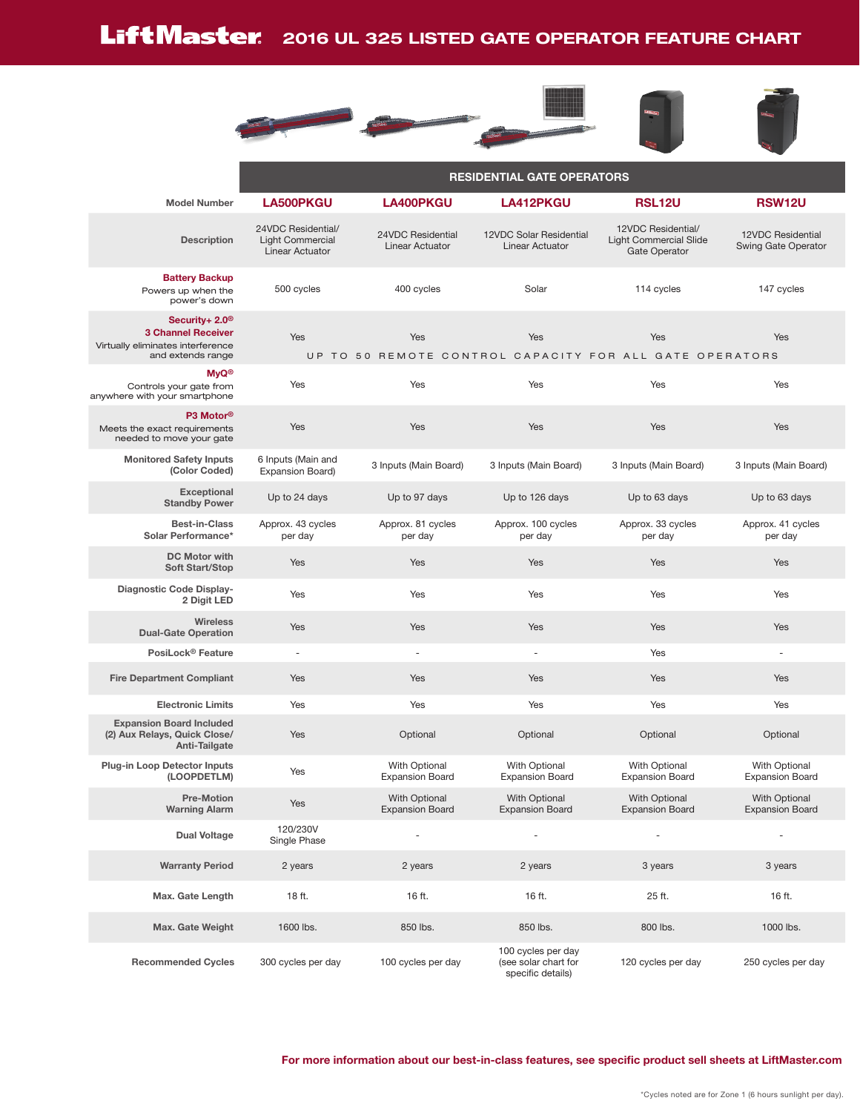## Lift Master 2016 UL 325 LISTED GATE OPERATOR FEATURE CHART







|                                                                                                                   | <b>RESIDENTIAL GATE OPERATORS</b>                                |                                             |                                                                 |                                                                      |                                          |  |  |  |  |  |
|-------------------------------------------------------------------------------------------------------------------|------------------------------------------------------------------|---------------------------------------------|-----------------------------------------------------------------|----------------------------------------------------------------------|------------------------------------------|--|--|--|--|--|
| <b>Model Number</b>                                                                                               | LA500PKGU                                                        | LA400PKGU                                   | <b>LA412PKGU</b>                                                | <b>RSL12U</b>                                                        | <b>RSW12U</b>                            |  |  |  |  |  |
| <b>Description</b>                                                                                                | 24VDC Residential/<br><b>Light Commercial</b><br>Linear Actuator | 24VDC Residential<br><b>Linear Actuator</b> | 12VDC Solar Residential<br>Linear Actuator                      | 12VDC Residential/<br><b>Light Commercial Slide</b><br>Gate Operator | 12VDC Residential<br>Swing Gate Operator |  |  |  |  |  |
| <b>Battery Backup</b><br>Powers up when the<br>power's down                                                       | 500 cycles                                                       | 400 cycles                                  | Solar                                                           | 114 cycles                                                           | 147 cycles                               |  |  |  |  |  |
| Security+ 2.0 <sup>®</sup><br><b>3 Channel Receiver</b><br>Virtually eliminates interference<br>and extends range | Yes                                                              | Yes                                         | Yes                                                             | Yes<br>UP TO 50 REMOTE CONTROL CAPACITY FOR ALL GATE OPERATORS       | Yes                                      |  |  |  |  |  |
| <b>MyQ®</b><br>Controls your gate from<br>anywhere with your smartphone                                           | Yes                                                              | Yes                                         | Yes                                                             | Yes                                                                  | Yes                                      |  |  |  |  |  |
| P3 Motor <sup>®</sup><br>Meets the exact requirements<br>needed to move your gate                                 | Yes                                                              | Yes                                         | Yes                                                             | Yes                                                                  | Yes                                      |  |  |  |  |  |
| <b>Monitored Safety Inputs</b><br>(Color Coded)                                                                   | 6 Inputs (Main and<br>Expansion Board)                           | 3 Inputs (Main Board)                       | 3 Inputs (Main Board)                                           | 3 Inputs (Main Board)                                                | 3 Inputs (Main Board)                    |  |  |  |  |  |
| <b>Exceptional</b><br><b>Standby Power</b>                                                                        | Up to 24 days                                                    | Up to 97 days                               | Up to 126 days                                                  | Up to 63 days                                                        | Up to 63 days                            |  |  |  |  |  |
| <b>Best-in-Class</b><br>Solar Performance*                                                                        | Approx. 43 cycles<br>per day                                     | Approx. 81 cycles<br>per day                | Approx. 100 cycles<br>per day                                   | Approx. 33 cycles<br>per day                                         | Approx. 41 cycles<br>per day             |  |  |  |  |  |
| <b>DC Motor with</b><br><b>Soft Start/Stop</b>                                                                    | Yes                                                              | Yes                                         | Yes                                                             | Yes                                                                  | Yes                                      |  |  |  |  |  |
| Diagnostic Code Display-<br>2 Digit LED                                                                           | Yes                                                              | Yes                                         | Yes                                                             | Yes                                                                  | Yes                                      |  |  |  |  |  |
| <b>Wireless</b><br><b>Dual-Gate Operation</b>                                                                     | Yes                                                              | Yes                                         | Yes                                                             | Yes                                                                  | Yes                                      |  |  |  |  |  |
| PosiLock <sup>®</sup> Feature                                                                                     | $\overline{\phantom{a}}$                                         | $\sim$                                      | ÷,                                                              | Yes                                                                  | ÷,                                       |  |  |  |  |  |
| <b>Fire Department Compliant</b>                                                                                  | Yes                                                              | Yes                                         | Yes                                                             | Yes                                                                  | Yes                                      |  |  |  |  |  |
| <b>Electronic Limits</b>                                                                                          | Yes                                                              | Yes                                         | Yes                                                             | Yes                                                                  | Yes                                      |  |  |  |  |  |
| <b>Expansion Board Included</b><br>(2) Aux Relays, Quick Close/<br>Anti-Tailgate                                  | Yes                                                              | Optional                                    | Optional                                                        | Optional                                                             | Optional                                 |  |  |  |  |  |
| <b>Plug-in Loop Detector Inputs</b><br>(LOOPDETLM)                                                                | Yes                                                              | With Optional<br><b>Expansion Board</b>     | With Optional<br><b>Expansion Board</b>                         | With Optional<br><b>Expansion Board</b>                              | With Optional<br><b>Expansion Board</b>  |  |  |  |  |  |
| <b>Pre-Motion</b><br><b>Warning Alarm</b>                                                                         | Yes                                                              | With Optional<br><b>Expansion Board</b>     | With Optional<br><b>Expansion Board</b>                         | With Optional<br><b>Expansion Board</b>                              | With Optional<br><b>Expansion Board</b>  |  |  |  |  |  |
| <b>Dual Voltage</b>                                                                                               | 120/230V<br>Single Phase                                         |                                             |                                                                 |                                                                      |                                          |  |  |  |  |  |
| <b>Warranty Period</b>                                                                                            | 2 years                                                          | 2 years                                     | 2 years                                                         | 3 years                                                              | 3 years                                  |  |  |  |  |  |
| Max. Gate Length                                                                                                  | 18 ft.                                                           | 16 ft.                                      | 16 ft.                                                          | 25 ft.                                                               | 16 ft.                                   |  |  |  |  |  |
| Max. Gate Weight                                                                                                  | 1600 lbs.                                                        | 850 lbs.                                    | 850 lbs.                                                        | 800 lbs.                                                             | 1000 lbs.                                |  |  |  |  |  |
| <b>Recommended Cycles</b>                                                                                         | 300 cycles per day                                               | 100 cycles per day                          | 100 cycles per day<br>(see solar chart for<br>specific details) | 120 cycles per day                                                   | 250 cycles per day                       |  |  |  |  |  |